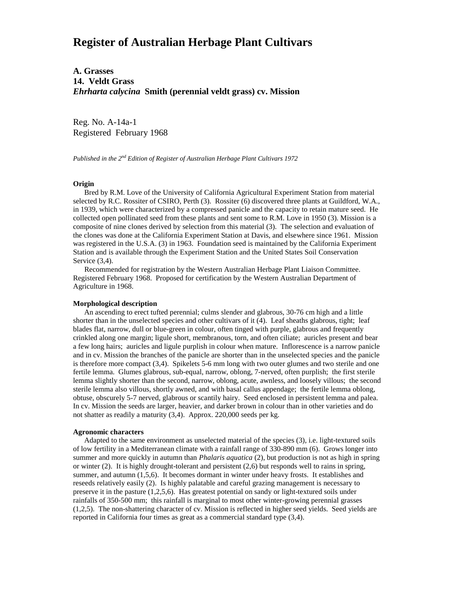# **Register of Australian Herbage Plant Cultivars**

**A. Grasses 14. Veldt Grass** *Ehrharta calycina* **Smith (perennial veldt grass) cv. Mission**

Reg. No. A-14a-1 Registered February 1968

*Published in the 2nd Edition of Register of Australian Herbage Plant Cultivars 1972*

## **Origin**

 Bred by R.M. Love of the University of California Agricultural Experiment Station from material selected by R.C. Rossiter of CSIRO, Perth (3). Rossiter (6) discovered three plants at Guildford, W.A., in 1939, which were characterized by a compressed panicle and the capacity to retain mature seed. He collected open pollinated seed from these plants and sent some to R.M. Love in 1950 (3). Mission is a composite of nine clones derived by selection from this material (3). The selection and evaluation of the clones was done at the California Experiment Station at Davis, and elsewhere since 1961. Mission was registered in the U.S.A. (3) in 1963. Foundation seed is maintained by the California Experiment Station and is available through the Experiment Station and the United States Soil Conservation Service (3,4).

 Recommended for registration by the Western Australian Herbage Plant Liaison Committee. Registered February 1968. Proposed for certification by the Western Australian Department of Agriculture in 1968.

#### **Morphological description**

 An ascending to erect tufted perennial; culms slender and glabrous, 30-76 cm high and a little shorter than in the unselected species and other cultivars of it (4). Leaf sheaths glabrous, tight; leaf blades flat, narrow, dull or blue-green in colour, often tinged with purple, glabrous and frequently crinkled along one margin; ligule short, membranous, torn, and often ciliate; auricles present and bear a few long hairs; auricles and ligule purplish in colour when mature. Inflorescence is a narrow panicle and in cv. Mission the branches of the panicle are shorter than in the unselected species and the panicle is therefore more compact (3,4). Spikelets 5-6 mm long with two outer glumes and two sterile and one fertile lemma. Glumes glabrous, sub-equal, narrow, oblong, 7-nerved, often purplish; the first sterile lemma slightly shorter than the second, narrow, oblong, acute, awnless, and loosely villous; the second sterile lemma also villous, shortly awned, and with basal callus appendage; the fertile lemma oblong, obtuse, obscurely 5-7 nerved, glabrous or scantily hairy. Seed enclosed in persistent lemma and palea. In cv. Mission the seeds are larger, heavier, and darker brown in colour than in other varieties and do not shatter as readily a maturity (3,4). Approx. 220,000 seeds per kg.

## **Agronomic characters**

 Adapted to the same environment as unselected material of the species (3), i.e. light-textured soils of low fertility in a Mediterranean climate with a rainfall range of 330-890 mm (6). Grows longer into summer and more quickly in autumn than *Phalaris aquatica* (2), but production is not as high in spring or winter (2). It is highly drought-tolerant and persistent (2,6) but responds well to rains in spring, summer, and autumn (1,5,6). It becomes dormant in winter under heavy frosts. It establishes and reseeds relatively easily (2). Is highly palatable and careful grazing management is necessary to preserve it in the pasture (1,2,5,6). Has greatest potential on sandy or light-textured soils under rainfalls of 350-500 mm; this rainfall is marginal to most other winter-growing perennial grasses (1,2,5). The non-shattering character of cv. Mission is reflected in higher seed yields. Seed yields are reported in California four times as great as a commercial standard type (3,4).